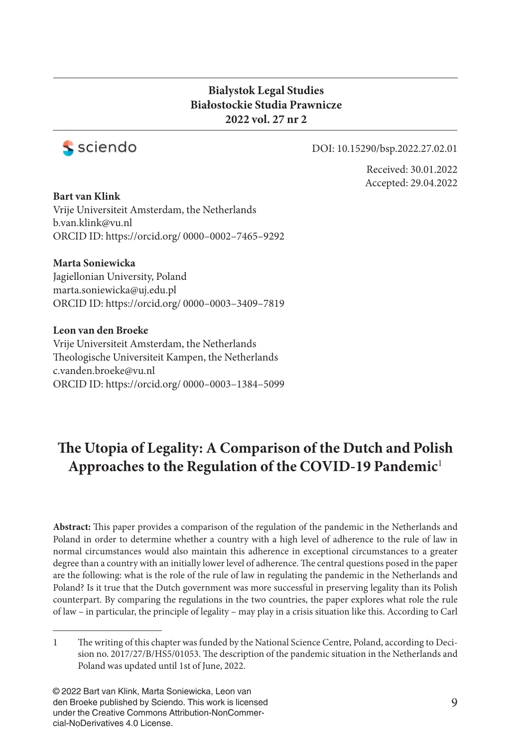#### **Bialystok Legal Studies Białostockie Studia Prawnicze 2022 vol. 27 nr 2**



#### DOI: 10.15290/bsp.2022.27.02.01

Received: 30.01.2022 Accepted: 29.04.2022

**Bart van Klink** Vrije Universiteit Amsterdam, the Netherlands b.van.klink@vu.nl ORCID ID: https://orcid.org/ 0000–0002–7465–9292

#### **Marta Soniewicka**

Jagiellonian University, Poland marta.soniewicka@uj.edu.pl ORCID ID: https://orcid.org/ 0000–0003–3409–7819

**Leon van den Broeke** Vrije Universiteit Amsterdam, the Netherlands Theologische Universiteit Kampen, the Netherlands c.vanden.broeke@vu.nl ORCID ID: https://orcid.org/ 0000–0003–1384–5099

# The Utopia of Legality: A Comparison of the Dutch and Polish **Approaches to the Regulation of the COVID-19 Pandemic**<sup>1</sup>

Abstract: This paper provides a comparison of the regulation of the pandemic in the Netherlands and Poland in order to determine whether a country with a high level of adherence to the rule of law in normal circumstances would also maintain this adherence in exceptional circumstances to a greater degree than a country with an initially lower level of adherence. The central questions posed in the paper are the following: what is the role of the rule of law in regulating the pandemic in the Netherlands and Poland? Is it true that the Dutch government was more successful in preserving legality than its Polish counterpart. By comparing the regulations in the two countries, the paper explores what role the rule of law – in particular, the principle of legality – may play in a crisis situation like this. According to Carl

© 2022 Bart van Klink, Marta Soniewicka, Leon van den Broeke published by Sciendo. This work is licensed under the Creative Commons Attribution-NonCommercial-NoDerivatives 4.0 License.

<sup>1</sup> The writing of this chapter was funded by the National Science Centre, Poland, according to Decision no. 2017/27/B/HS5/01053. The description of the pandemic situation in the Netherlands and Poland was updated until 1st of June, 2022.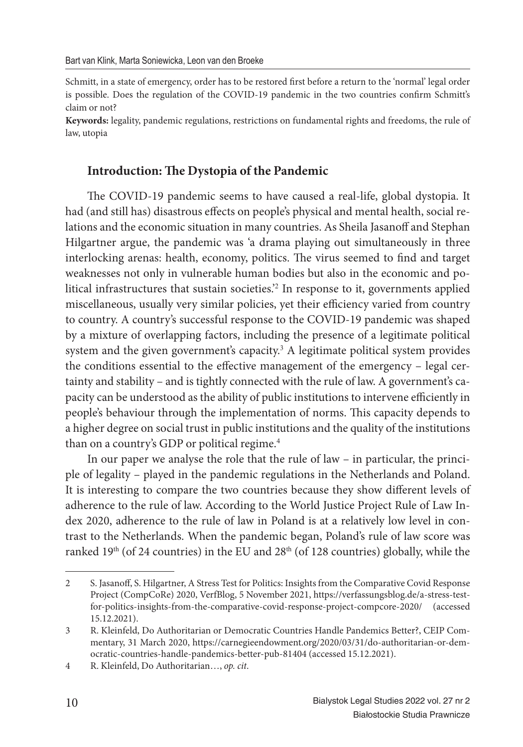Schmitt, in a state of emergency, order has to be restored first before a return to the 'normal' legal order is possible. Does the regulation of the COVID-19 pandemic in the two countries confirm Schmitt's claim or not?

**Keywords:** legality, pandemic regulations, restrictions on fundamental rights and freedoms, the rule of law, utopia

#### **Introduction: The Dystopia of the Pandemic**

The COVID-19 pandemic seems to have caused a real-life, global dystopia. It had (and still has) disastrous effects on people's physical and mental health, social relations and the economic situation in many countries. As Sheila Jasanoff and Stephan Hilgartner argue, the pandemic was 'a drama playing out simultaneously in three interlocking arenas: health, economy, politics. The virus seemed to find and target weaknesses not only in vulnerable human bodies but also in the economic and political infrastructures that sustain societies.'<sup>2</sup> In response to it, governments applied miscellaneous, usually very similar policies, yet their efficiency varied from country to country. A country's successful response to the COVID-19 pandemic was shaped by a mixture of overlapping factors, including the presence of a legitimate political system and the given government's capacity.<sup>3</sup> A legitimate political system provides the conditions essential to the effective management of the emergency - legal certainty and stability – and is tightly connected with the rule of law. A government's capacity can be understood as the ability of public institutions to intervene efficiently in people's behaviour through the implementation of norms. This capacity depends to a higher degree on social trust in public institutions and the quality of the institutions than on a country's GDP or political regime.<sup>4</sup>

In our paper we analyse the role that the rule of law – in particular, the principle of legality – played in the pandemic regulations in the Netherlands and Poland. It is interesting to compare the two countries because they show different levels of adherence to the rule of law. According to the World Justice Project Rule of Law Index 2020, adherence to the rule of law in Poland is at a relatively low level in contrast to the Netherlands. When the pandemic began, Poland's rule of law score was ranked 19<sup>th</sup> (of 24 countries) in the EU and 28<sup>th</sup> (of 128 countries) globally, while the

<sup>2</sup> S. Jasanoff , S. Hilgartner, A Stress Test for Politics: Insights from the Comparative Covid Response Project (CompCoRe) 2020, VerfBlog, 5 November 2021, https://verfassungsblog.de/a-stress-testfor-politics-insights-from-the-comparative-covid-response-project-compcore-2020/ (accessed 15.12.2021).

<sup>3</sup> R. Kleinfeld, Do Authoritarian or Democratic Countries Handle Pandemics Better?, CEIP Commentary, 31 March 2020, https://carnegieendowment.org/2020/03/31/do-authoritarian-or-democratic-countries-handle-pandemics-better-pub-81404 (accessed 15.12.2021).

<sup>4</sup> R. Kleinfeld, Do Authoritarian…, *op. cit*.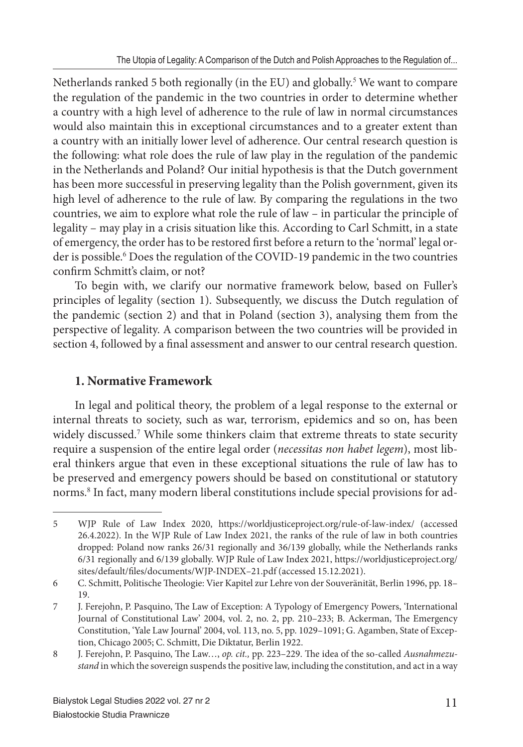Netherlands ranked 5 both regionally (in the EU) and globally.<sup>5</sup> We want to compare the regulation of the pandemic in the two countries in order to determine whether a country with a high level of adherence to the rule of law in normal circumstances would also maintain this in exceptional circumstances and to a greater extent than a country with an initially lower level of adherence. Our central research question is the following: what role does the rule of law play in the regulation of the pandemic in the Netherlands and Poland? Our initial hypothesis is that the Dutch government has been more successful in preserving legality than the Polish government, given its high level of adherence to the rule of law. By comparing the regulations in the two countries, we aim to explore what role the rule of law – in particular the principle of legality – may play in a crisis situation like this. According to Carl Schmitt, in a state of emergency, the order has to be restored first before a return to the 'normal' legal order is possible.<sup>6</sup> Does the regulation of the COVID-19 pandemic in the two countries confirm Schmitt's claim, or not?

To begin with, we clarify our normative framework below, based on Fuller's principles of legality (section 1). Subsequently, we discuss the Dutch regulation of the pandemic (section 2) and that in Poland (section 3), analysing them from the perspective of legality. A comparison between the two countries will be provided in section 4, followed by a final assessment and answer to our central research question.

## **1. Normative Framework**

In legal and political theory, the problem of a legal response to the external or internal threats to society, such as war, terrorism, epidemics and so on, has been widely discussed.<sup>7</sup> While some thinkers claim that extreme threats to state security require a suspension of the entire legal order (*necessitas non habet legem*), most liberal thinkers argue that even in these exceptional situations the rule of law has to be preserved and emergency powers should be based on constitutional or statutory norms.<sup>8</sup> In fact, many modern liberal constitutions include special provisions for ad-

<sup>5</sup> WJP Rule of Law Index 2020, https://worldjusticeproject.org/rule-of-law-index/ (accessed 26.4.2022). In the WJP Rule of Law Index 2021, the ranks of the rule of law in both countries dropped: Poland now ranks 26/31 regionally and 36/139 globally, while the Netherlands ranks 6/31 regionally and 6/139 globally. WJP Rule of Law Index 2021, https://worldjusticeproject.org/ sites/default/files/documents/WJP-INDEX-21.pdf (accessed 15.12.2021).

<sup>6</sup> C. Schmitt, Politische Th eologie: Vier Kapitel zur Lehre von der Souveränität, Berlin 1996, pp. 18– 19.

<sup>7</sup> J. Ferejohn, P. Pasquino, The Law of Exception: A Typology of Emergency Powers, 'International Journal of Constitutional Law' 2004, vol. 2, no. 2, pp. 210-233; B. Ackerman, The Emergency Constitution, 'Yale Law Journal' 2004, vol. 113, no. 5, pp. 1029–1091; G. Agamben, State of Exception, Chicago 2005; C. Schmitt, Die Diktatur, Berlin 1922.

<sup>8</sup> J. Ferejohn, P. Pasquino, The Law..., op. cit., pp. 223-229. The idea of the so-called *Ausnahmezustand* in which the sovereign suspends the positive law, including the constitution, and act in a way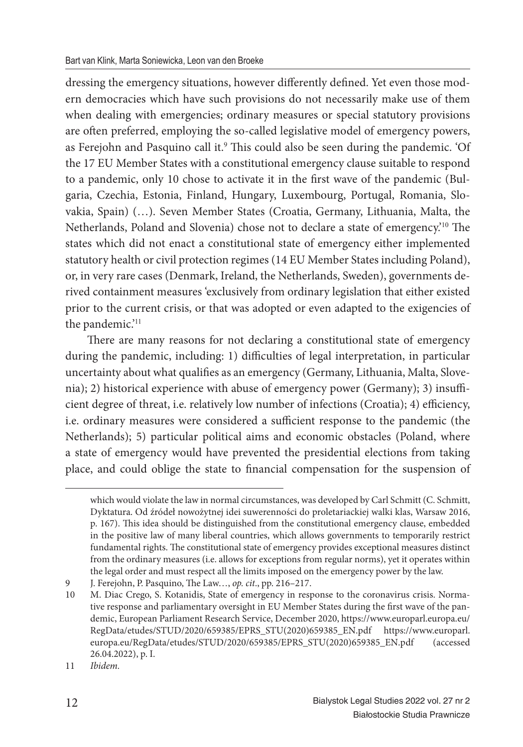dressing the emergency situations, however differently defined. Yet even those modern democracies which have such provisions do not necessarily make use of them when dealing with emergencies; ordinary measures or special statutory provisions are often preferred, employing the so-called legislative model of emergency powers, as Ferejohn and Pasquino call it.<sup>9</sup> This could also be seen during the pandemic. 'Of the 17 EU Member States with a constitutional emergency clause suitable to respond to a pandemic, only 10 chose to activate it in the first wave of the pandemic (Bulgaria, Czechia, Estonia, Finland, Hungary, Luxembourg, Portugal, Romania, Slovakia, Spain) (…). Seven Member States (Croatia, Germany, Lithuania, Malta, the Netherlands, Poland and Slovenia) chose not to declare a state of emergency.<sup>10</sup> The states which did not enact a constitutional state of emergency either implemented statutory health or civil protection regimes (14 EU Member States including Poland), or, in very rare cases (Denmark, Ireland, the Netherlands, Sweden), governments derived containment measures 'exclusively from ordinary legislation that either existed prior to the current crisis, or that was adopted or even adapted to the exigencies of the pandemic.'<sup>11</sup>

There are many reasons for not declaring a constitutional state of emergency during the pandemic, including: 1) difficulties of legal interpretation, in particular uncertainty about what qualifies as an emergency (Germany, Lithuania, Malta, Slovenia); 2) historical experience with abuse of emergency power (Germany); 3) insufficient degree of threat, i.e. relatively low number of infections (Croatia); 4) efficiency, i.e. ordinary measures were considered a sufficient response to the pandemic (the Netherlands); 5) particular political aims and economic obstacles (Poland, where a state of emergency would have prevented the presidential elections from taking place, and could oblige the state to financial compensation for the suspension of

which would violate the law in normal circumstances, was developed by Carl Schmitt (C. Schmitt, Dyktatura. Od źródeł nowożytnej idei suwerenności do proletariackiej walki klas, Warsaw 2016, p. 167). This idea should be distinguished from the constitutional emergency clause, embedded in the positive law of many liberal countries, which allows governments to temporarily restrict fundamental rights. The constitutional state of emergency provides exceptional measures distinct from the ordinary measures (i.e. allows for exceptions from regular norms), yet it operates within the legal order and must respect all the limits imposed on the emergency power by the law.

<sup>9</sup> J. Ferejohn, P. Pasquino, The Law..., op. cit., pp. 216-217.

<sup>10</sup> M. Diac Crego, S. Kotanidis, State of emergency in response to the coronavirus crisis. Normative response and parliamentary oversight in EU Member States during the first wave of the pandemic, European Parliament Research Service, December 2020, https://www.europarl.europa.eu/ RegData/etudes/STUD/2020/659385/EPRS\_STU(2020)659385\_EN.pdf https://www.europarl. europa.eu/RegData/etudes/STUD/2020/659385/EPRS\_STU(2020)659385\_EN.pdf (accessed 26.04.2022), p. I.

<sup>11</sup> *Ibidem.*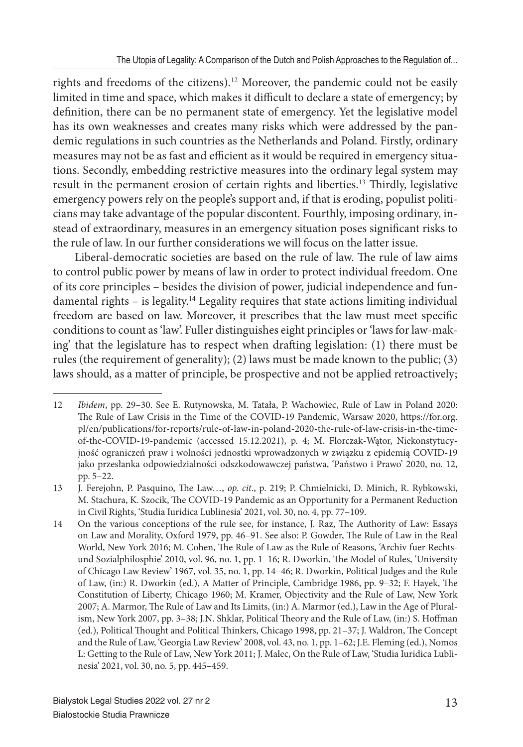rights and freedoms of the citizens).<sup>12</sup> Moreover, the pandemic could not be easily limited in time and space, which makes it difficult to declare a state of emergency; by definition, there can be no permanent state of emergency. Yet the legislative model has its own weaknesses and creates many risks which were addressed by the pandemic regulations in such countries as the Netherlands and Poland. Firstly, ordinary measures may not be as fast and efficient as it would be required in emergency situations. Secondly, embedding restrictive measures into the ordinary legal system may result in the permanent erosion of certain rights and liberties.<sup>13</sup> Thirdly, legislative emergency powers rely on the people's support and, if that is eroding, populist politicians may take advantage of the popular discontent. Fourthly, imposing ordinary, instead of extraordinary, measures in an emergency situation poses significant risks to the rule of law. In our further considerations we will focus on the latter issue.

Liberal-democratic societies are based on the rule of law. The rule of law aims to control public power by means of law in order to protect individual freedom. One of its core principles – besides the division of power, judicial independence and fundamental rights – is legality.<sup>14</sup> Legality requires that state actions limiting individual freedom are based on law. Moreover, it prescribes that the law must meet specific conditions to count as 'law'. Fuller distinguishes eight principles or 'laws for law-making' that the legislature has to respect when drafting legislation: (1) there must be rules (the requirement of generality); (2) laws must be made known to the public; (3) laws should, as a matter of principle, be prospective and not be applied retroactively;

<sup>12</sup> *Ibidem*, pp. 29–30. See E. Rutynowska, M. Tatała, P. Wachowiec, Rule of Law in Poland 2020: The Rule of Law Crisis in the Time of the COVID-19 Pandemic, Warsaw 2020, https://for.org. pl/en/publications/for-reports/rule-of-law-in-poland-2020-the-rule-of-law-crisis-in-the-timeof-the-COVID-19-pandemic (accessed 15.12.2021), p. 4; M. Florczak-Wątor, Niekonstytucyjność ograniczeń praw i wolności jednostki wprowadzonych w związku z epidemią COVID-19 jako przesłanka odpowiedzialności odszkodowawczej państwa, 'Państwo i Prawo' 2020, no. 12, pp. 5–22.

<sup>13</sup> J. Ferejohn, P. Pasquino, The Law..., op. cit., p. 219; P. Chmielnicki, D. Minich, R. Rybkowski, M. Stachura, K. Szocik, The COVID-19 Pandemic as an Opportunity for a Permanent Reduction in Civil Rights, 'Studia Iuridica Lublinesia' 2021, vol. 30, no. 4, pp. 77–109.

<sup>14</sup> On the various conceptions of the rule see, for instance, J. Raz, The Authority of Law: Essays on Law and Morality, Oxford 1979, pp. 46-91. See also: P. Gowder, The Rule of Law in the Real World, New York 2016; M. Cohen, The Rule of Law as the Rule of Reasons, 'Archiv fuer Rechtsund Sozialphilosphie' 2010, vol. 96, no. 1, pp. 1-16; R. Dworkin, The Model of Rules, 'University of Chicago Law Review' 1967, vol. 35, no. 1, pp. 14–46; R. Dworkin, Political Judges and the Rule of Law, (in:) R. Dworkin (ed.), A Matter of Principle, Cambridge 1986, pp. 9-32; F. Hayek, The Constitution of Liberty, Chicago 1960; M. Kramer, Objectivity and the Rule of Law, New York 2007; A. Marmor, The Rule of Law and Its Limits, (in:) A. Marmor (ed.), Law in the Age of Pluralism, New York 2007, pp. 3-38; J.N. Shklar, Political Theory and the Rule of Law, (in:) S. Hoffman (ed.), Political Thought and Political Thinkers, Chicago 1998, pp. 21-37; J. Waldron, The Concept and the Rule of Law, 'Georgia Law Review' 2008, vol. 43, no. 1, pp. 1–62; J.E. Fleming (ed.), Nomos L: Getting to the Rule of Law, New York 2011; J. Malec, On the Rule of Law, 'Studia Iuridica Lublinesia' 2021, vol. 30, no. 5, pp. 445–459.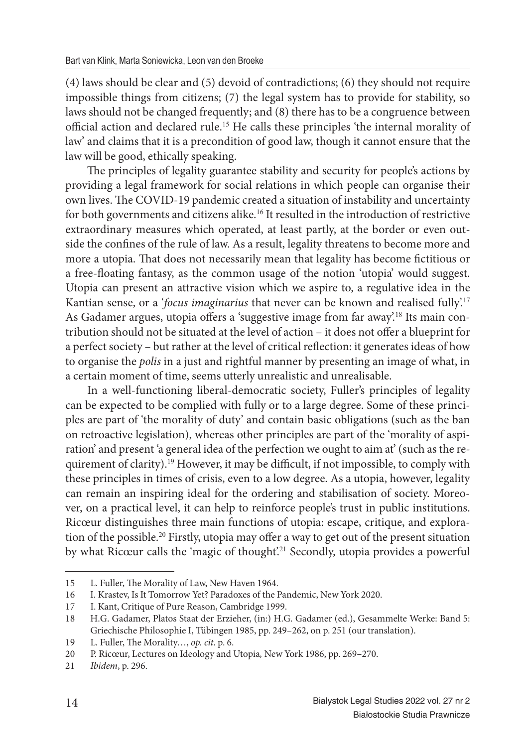(4) laws should be clear and (5) devoid of contradictions; (6) they should not require impossible things from citizens; (7) the legal system has to provide for stability, so laws should not be changed frequently; and (8) there has to be a congruence between official action and declared rule.<sup>15</sup> He calls these principles 'the internal morality of law' and claims that it is a precondition of good law, though it cannot ensure that the law will be good, ethically speaking.

The principles of legality guarantee stability and security for people's actions by providing a legal framework for social relations in which people can organise their own lives. The COVID-19 pandemic created a situation of instability and uncertainty for both governments and citizens alike.<sup>16</sup> It resulted in the introduction of restrictive extraordinary measures which operated, at least partly, at the border or even outside the confines of the rule of law. As a result, legality threatens to become more and more a utopia. That does not necessarily mean that legality has become fictitious or a free-floating fantasy, as the common usage of the notion 'utopia' would suggest. Utopia can present an attractive vision which we aspire to, a regulative idea in the Kantian sense, or a '*focus imaginarius* that never can be known and realised fully'.<sup>17</sup> As Gadamer argues, utopia offers a 'suggestive image from far away'.<sup>18</sup> Its main contribution should not be situated at the level of action – it does not offer a blueprint for a perfect society – but rather at the level of critical reflection: it generates ideas of how to organise the *polis* in a just and rightful manner by presenting an image of what, in a certain moment of time, seems utterly unrealistic and unrealisable.

In a well-functioning liberal-democratic society, Fuller's principles of legality can be expected to be complied with fully or to a large degree. Some of these principles are part of 'the morality of duty' and contain basic obligations (such as the ban on retroactive legislation), whereas other principles are part of the 'morality of aspiration' and present 'a general idea of the perfection we ought to aim at' (such as the requirement of clarity).<sup>19</sup> However, it may be difficult, if not impossible, to comply with these principles in times of crisis, even to a low degree. As a utopia, however, legality can remain an inspiring ideal for the ordering and stabilisation of society. Moreover, on a practical level, it can help to reinforce people's trust in public institutions. Ricœur distinguishes three main functions of utopia: escape, critique, and exploration of the possible.<sup>20</sup> Firstly, utopia may offer a way to get out of the present situation by what Ricœur calls the 'magic of thought'.<sup>21</sup> Secondly, utopia provides a powerful

<sup>15</sup> L. Fuller, The Morality of Law, New Haven 1964.

<sup>16</sup> I. Krastev, Is It Tomorrow Yet? Paradoxes of the Pandemic, New York 2020.

<sup>17</sup> I. Kant, Critique of Pure Reason, Cambridge 1999.

<sup>18</sup> H.G. Gadamer, Platos Staat der Erzieher, (in:) H.G. Gadamer (ed.), Gesammelte Werke: Band 5: Griechische Philosophie I, Tübingen 1985, pp. 249–262, on p. 251 (our translation).

<sup>19</sup> L. Fuller, The Morality..., op. cit. p. 6.

<sup>20</sup> P. Ricœur, Lectures on Ideology and Utopia*,* New York 1986, pp. 269–270.

<sup>21</sup> *Ibidem*, p. 296.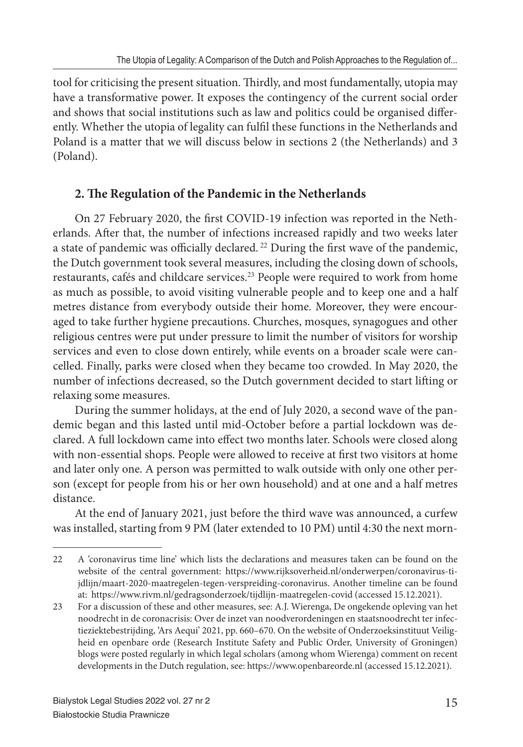tool for criticising the present situation. Thirdly, and most fundamentally, utopia may have a transformative power. It exposes the contingency of the current social order and shows that social institutions such as law and politics could be organised differently. Whether the utopia of legality can fulfil these functions in the Netherlands and Poland is a matter that we will discuss below in sections 2 (the Netherlands) and 3 (Poland).

### 2. The Regulation of the Pandemic in the Netherlands

On 27 February 2020, the first COVID-19 infection was reported in the Netherlands. After that, the number of infections increased rapidly and two weeks later a state of pandemic was officially declared.<sup>22</sup> During the first wave of the pandemic, the Dutch government took several measures, including the closing down of schools, restaurants, cafés and childcare services.<sup>23</sup> People were required to work from home as much as possible, to avoid visiting vulnerable people and to keep one and a half metres distance from everybody outside their home. Moreover, they were encouraged to take further hygiene precautions. Churches, mosques, synagogues and other religious centres were put under pressure to limit the number of visitors for worship services and even to close down entirely, while events on a broader scale were cancelled. Finally, parks were closed when they became too crowded. In May 2020, the number of infections decreased, so the Dutch government decided to start lifting or relaxing some measures.

During the summer holidays, at the end of July 2020, a second wave of the pandemic began and this lasted until mid-October before a partial lockdown was declared. A full lockdown came into effect two months later. Schools were closed along with non-essential shops. People were allowed to receive at first two visitors at home and later only one. A person was permitted to walk outside with only one other person (except for people from his or her own household) and at one and a half metres distance.

At the end of January 2021, just before the third wave was announced, a curfew was installed, starting from 9 PM (later extended to 10 PM) until 4:30 the next morn-

<sup>22</sup> A 'coronavirus time line' which lists the declarations and measures taken can be found on the website of the central government: https://www.rijksoverheid.nl/onderwerpen/coronavirus-tijdlijn/maart-2020-maatregelen-tegen-verspreiding-coronavirus. Another timeline can be found at: https://www.rivm.nl/gedragsonderzoek/tijdlijn-maatregelen-covid (accessed 15.12.2021).

<sup>23</sup> For a discussion of these and other measures, see: A.J. Wierenga, De ongekende opleving van het noodrecht in de coronacrisis: Over de inzet van noodverordeningen en staatsnoodrecht ter infectieziektebestrijding, 'Ars Aequi' 2021, pp. 660–670. On the website of Onderzoeksinstituut Veiligheid en openbare orde (Research Institute Safety and Public Order, University of Groningen) blogs were posted regularly in which legal scholars (among whom Wierenga) comment on recent developments in the Dutch regulation, see: https://www.openbareorde.nl (accessed 15.12.2021).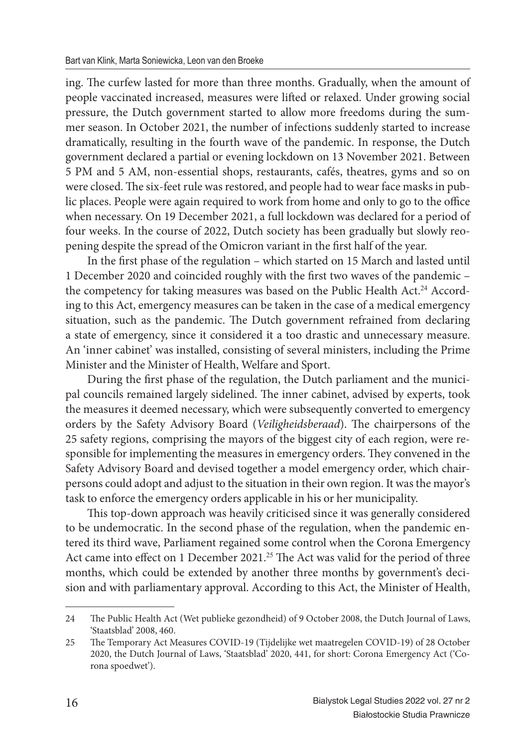ing. The curfew lasted for more than three months. Gradually, when the amount of people vaccinated increased, measures were lifted or relaxed. Under growing social pressure, the Dutch government started to allow more freedoms during the summer season. In October 2021, the number of infections suddenly started to increase dramatically, resulting in the fourth wave of the pandemic. In response, the Dutch government declared a partial or evening lockdown on 13 November 2021. Between 5 PM and 5 AM, non-essential shops, restaurants, cafés, theatres, gyms and so on were closed. The six-feet rule was restored, and people had to wear face masks in public places. People were again required to work from home and only to go to the office when necessary. On 19 December 2021, a full lockdown was declared for a period of four weeks. In the course of 2022, Dutch society has been gradually but slowly reopening despite the spread of the Omicron variant in the first half of the year.

In the first phase of the regulation – which started on 15 March and lasted until 1 December 2020 and coincided roughly with the first two waves of the pandemic the competency for taking measures was based on the Public Health Act.<sup>24</sup> According to this Act, emergency measures can be taken in the case of a medical emergency situation, such as the pandemic. The Dutch government refrained from declaring a state of emergency, since it considered it a too drastic and unnecessary measure. An 'inner cabinet' was installed, consisting of several ministers, including the Prime Minister and the Minister of Health, Welfare and Sport.

During the first phase of the regulation, the Dutch parliament and the municipal councils remained largely sidelined. The inner cabinet, advised by experts, took the measures it deemed necessary, which were subsequently converted to emergency orders by the Safety Advisory Board (*Veiligheidsberaad*). The chairpersons of the 25 safety regions, comprising the mayors of the biggest city of each region, were responsible for implementing the measures in emergency orders. They convened in the Safety Advisory Board and devised together a model emergency order, which chairpersons could adopt and adjust to the situation in their own region. It was the mayor's task to enforce the emergency orders applicable in his or her municipality.

This top-down approach was heavily criticised since it was generally considered to be undemocratic. In the second phase of the regulation, when the pandemic entered its third wave, Parliament regained some control when the Corona Emergency Act came into effect on 1 December 2021.<sup>25</sup> The Act was valid for the period of three months, which could be extended by another three months by government's decision and with parliamentary approval. According to this Act, the Minister of Health,

<sup>24</sup> The Public Health Act (Wet publieke gezondheid) of 9 October 2008, the Dutch Journal of Laws, 'Staatsblad' 2008, 460.

<sup>25</sup> The Temporary Act Measures COVID-19 (Tijdelijke wet maatregelen COVID-19) of 28 October 2020, the Dutch Journal of Laws, 'Staatsblad' 2020, 441, for short: Corona Emergency Act ('Corona spoedwet').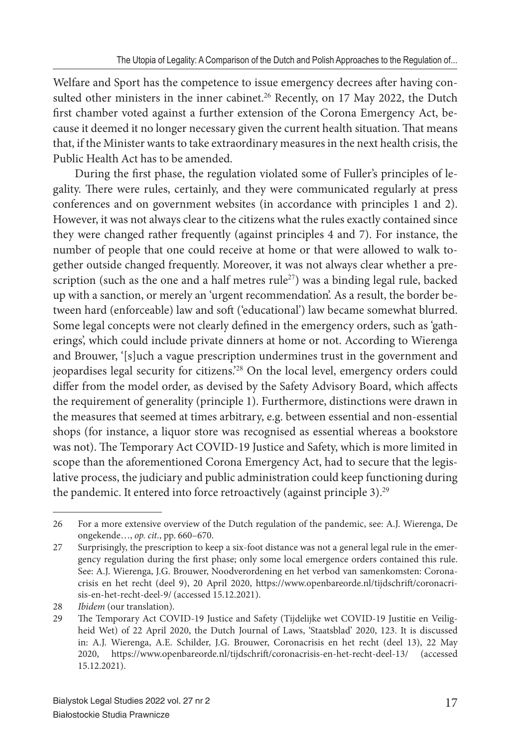Welfare and Sport has the competence to issue emergency decrees after having consulted other ministers in the inner cabinet.<sup>26</sup> Recently, on 17 May 2022, the Dutch first chamber voted against a further extension of the Corona Emergency Act, because it deemed it no longer necessary given the current health situation. That means that, if the Minister wants to take extraordinary measures in the next health crisis, the Public Health Act has to be amended.

During the first phase, the regulation violated some of Fuller's principles of legality. There were rules, certainly, and they were communicated regularly at press conferences and on government websites (in accordance with principles 1 and 2). However, it was not always clear to the citizens what the rules exactly contained since they were changed rather frequently (against principles 4 and 7). For instance, the number of people that one could receive at home or that were allowed to walk together outside changed frequently. Moreover, it was not always clear whether a prescription (such as the one and a half metres  $rule^{27}$ ) was a binding legal rule, backed up with a sanction, or merely an 'urgent recommendation'. As a result, the border between hard (enforceable) law and soft ('educational') law became somewhat blurred. Some legal concepts were not clearly defined in the emergency orders, such as 'gatherings', which could include private dinners at home or not. According to Wierenga and Brouwer, '[s]uch a vague prescription undermines trust in the government and jeopardises legal security for citizens.'<sup>28</sup> On the local level, emergency orders could differ from the model order, as devised by the Safety Advisory Board, which affects the requirement of generality (principle 1). Furthermore, distinctions were drawn in the measures that seemed at times arbitrary, e.g. between essential and non-essential shops (for instance, a liquor store was recognised as essential whereas a bookstore was not). The Temporary Act COVID-19 Justice and Safety, which is more limited in scope than the aforementioned Corona Emergency Act, had to secure that the legislative process, the judiciary and public administration could keep functioning during the pandemic. It entered into force retroactively (against principle 3).<sup>29</sup>

<sup>26</sup> For a more extensive overview of the Dutch regulation of the pandemic, see: A.J. Wierenga, De ongekende…, *op. cit.*, pp. 660–670.

<sup>27</sup> Surprisingly, the prescription to keep a six-foot distance was not a general legal rule in the emergency regulation during the first phase; only some local emergence orders contained this rule. See: A.J. Wierenga, J.G. Brouwer, Noodverordening en het verbod van samenkomsten: Coronacrisis en het recht (deel 9), 20 April 2020, https://www.openbareorde.nl/tijdschrift/coronacrisis-en-het-recht-deel-9/ (accessed 15.12.2021).

<sup>28</sup> *Ibidem* (our translation).

<sup>29</sup> The Temporary Act COVID-19 Justice and Safety (Tijdelijke wet COVID-19 Justitie en Veiligheid Wet) of 22 April 2020, the Dutch Journal of Laws, 'Staatsblad' 2020, 123. It is discussed in: A.J. Wierenga, A.E. Schilder, J.G. Brouwer, Coronacrisis en het recht (deel 13), 22 May 2020, https://www.openbareorde.nl/tijdschrift/coronacrisis-en-het-recht-deel-13/ (accessed 15.12.2021).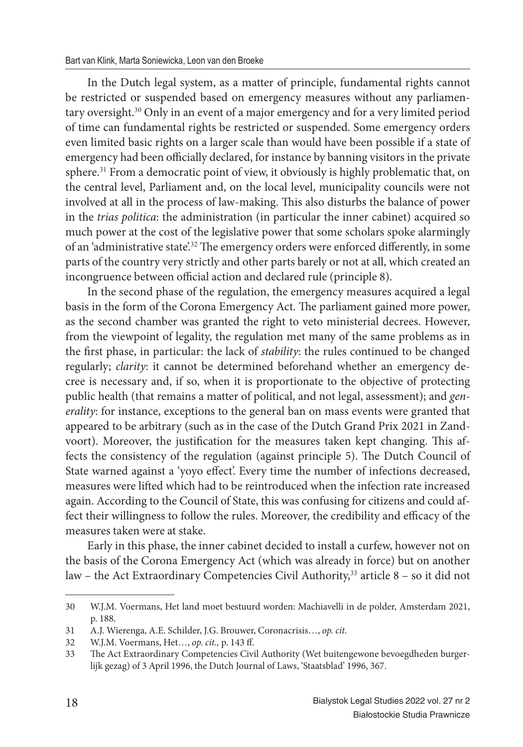In the Dutch legal system, as a matter of principle, fundamental rights cannot be restricted or suspended based on emergency measures without any parliamentary oversight.<sup>30</sup> Only in an event of a major emergency and for a very limited period of time can fundamental rights be restricted or suspended. Some emergency orders even limited basic rights on a larger scale than would have been possible if a state of emergency had been officially declared, for instance by banning visitors in the private sphere.<sup>31</sup> From a democratic point of view, it obviously is highly problematic that, on the central level, Parliament and, on the local level, municipality councils were not involved at all in the process of law-making. This also disturbs the balance of power in the *trias politica*: the administration (in particular the inner cabinet) acquired so much power at the cost of the legislative power that some scholars spoke alarmingly of an 'administrative state'.<sup>32</sup> The emergency orders were enforced differently, in some parts of the country very strictly and other parts barely or not at all, which created an incongruence between official action and declared rule (principle 8).

In the second phase of the regulation, the emergency measures acquired a legal basis in the form of the Corona Emergency Act. The parliament gained more power, as the second chamber was granted the right to veto ministerial decrees. However, from the viewpoint of legality, the regulation met many of the same problems as in the first phase, in particular: the lack of *stability*: the rules continued to be changed regularly; *clarity*: it cannot be determined beforehand whether an emergency decree is necessary and, if so, when it is proportionate to the objective of protecting public health (that remains a matter of political, and not legal, assessment); and *generality*: for instance, exceptions to the general ban on mass events were granted that appeared to be arbitrary (such as in the case of the Dutch Grand Prix 2021 in Zandvoort). Moreover, the justification for the measures taken kept changing. This affects the consistency of the regulation (against principle 5). The Dutch Council of State warned against a 'yoyo effect'. Every time the number of infections decreased, measures were lifted which had to be reintroduced when the infection rate increased again. According to the Council of State, this was confusing for citizens and could affect their willingness to follow the rules. Moreover, the credibility and efficacy of the measures taken were at stake.

Early in this phase, the inner cabinet decided to install a curfew, however not on the basis of the Corona Emergency Act (which was already in force) but on another law – the Act Extraordinary Competencies Civil Authority,<sup>33</sup> article 8 – so it did not

<sup>30</sup> W.J.M. Voermans, Het land moet bestuurd worden: Machiavelli in de polder, Amsterdam 2021, p. 188.

<sup>31</sup> A.J. Wierenga, A.E. Schilder, J.G. Brouwer, Coronacrisis…, *op. cit.*

<sup>32</sup> W.J.M. Voermans, Het…, *op. cit.,* p. 143 ff .

<sup>33</sup> The Act Extraordinary Competencies Civil Authority (Wet buitengewone bevoegdheden burgerlijk gezag) of 3 April 1996, the Dutch Journal of Laws, 'Staatsblad' 1996, 367.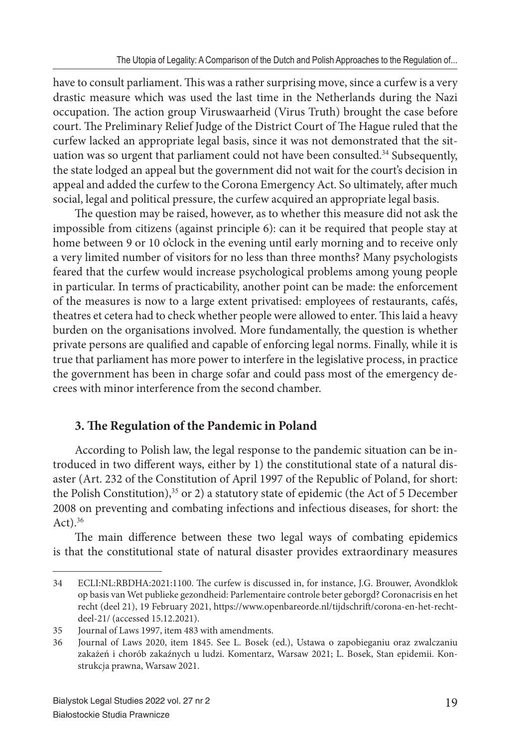have to consult parliament. This was a rather surprising move, since a curfew is a very drastic measure which was used the last time in the Netherlands during the Nazi occupation. The action group Viruswaarheid (Virus Truth) brought the case before court. The Preliminary Relief Judge of the District Court of The Hague ruled that the curfew lacked an appropriate legal basis, since it was not demonstrated that the situation was so urgent that parliament could not have been consulted.<sup>34</sup> Subsequently, the state lodged an appeal but the government did not wait for the court's decision in appeal and added the curfew to the Corona Emergency Act. So ultimately, after much social, legal and political pressure, the curfew acquired an appropriate legal basis.

The question may be raised, however, as to whether this measure did not ask the impossible from citizens (against principle 6): can it be required that people stay at home between 9 or 10 o'clock in the evening until early morning and to receive only a very limited number of visitors for no less than three months? Many psychologists feared that the curfew would increase psychological problems among young people in particular. In terms of practicability, another point can be made: the enforcement of the measures is now to a large extent privatised: employees of restaurants, cafés, theatres et cetera had to check whether people were allowed to enter. This laid a heavy burden on the organisations involved. More fundamentally, the question is whether private persons are qualified and capable of enforcing legal norms. Finally, while it is true that parliament has more power to interfere in the legislative process, in practice the government has been in charge sofar and could pass most of the emergency decrees with minor interference from the second chamber.

# **3. The Regulation of the Pandemic in Poland**

According to Polish law, the legal response to the pandemic situation can be introduced in two different ways, either by 1) the constitutional state of a natural disaster (Art. 232 of the Constitution of April 1997 of the Republic of Poland, for short: the Polish Constitution),<sup>35</sup> or 2) a statutory state of epidemic (the Act of 5 December 2008 on preventing and combating infections and infectious diseases, for short: the  $Act).<sup>36</sup>$ 

The main difference between these two legal ways of combating epidemics is that the constitutional state of natural disaster provides extraordinary measures

<sup>34</sup> ECLI:NL:RBDHA:2021:1100. The curfew is discussed in, for instance, J.G. Brouwer, Avondklok op basis van Wet publieke gezondheid: Parlementaire controle beter geborgd? Coronacrisis en het recht (deel 21), 19 February 2021, https://www.openbareorde.nl/tijdschrift/corona-en-het-rechtdeel-21/ (accessed 15.12.2021).

<sup>35</sup> Journal of Laws 1997, item 483 with amendments.

<sup>36</sup> Journal of Laws 2020, item 1845. See L. Bosek (ed.), Ustawa o zapobieganiu oraz zwalczaniu zakażeń i chorób zakaźnych u ludzi. Komentarz, Warsaw 2021; L. Bosek, Stan epidemii. Konstrukcja prawna, Warsaw 2021.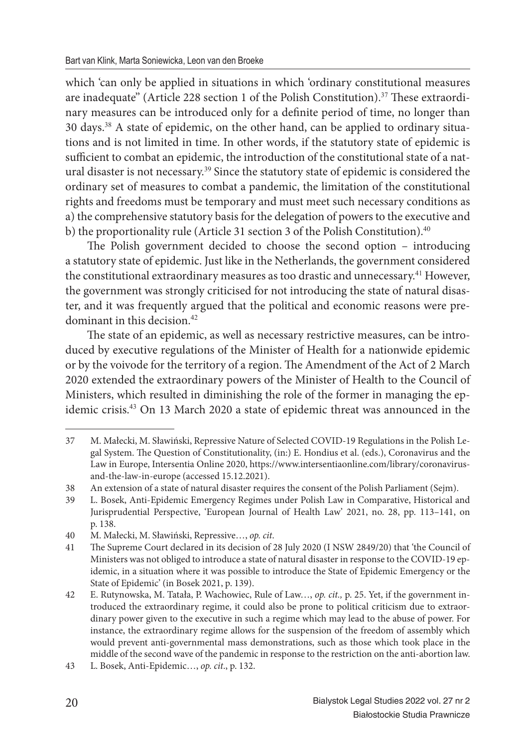which 'can only be applied in situations in which 'ordinary constitutional measures are inadequate" (Article 228 section 1 of the Polish Constitution).<sup>37</sup> These extraordinary measures can be introduced only for a definite period of time, no longer than 30 days.38 A state of epidemic, on the other hand, can be applied to ordinary situations and is not limited in time. In other words, if the statutory state of epidemic is sufficient to combat an epidemic, the introduction of the constitutional state of a natural disaster is not necessary.<sup>39</sup> Since the statutory state of epidemic is considered the ordinary set of measures to combat a pandemic, the limitation of the constitutional rights and freedoms must be temporary and must meet such necessary conditions as a) the comprehensive statutory basis for the delegation of powers to the executive and b) the proportionality rule (Article 31 section 3 of the Polish Constitution).<sup>40</sup>

The Polish government decided to choose the second option – introducing a statutory state of epidemic. Just like in the Netherlands, the government considered the constitutional extraordinary measures as too drastic and unnecessary.<sup>41</sup> However, the government was strongly criticised for not introducing the state of natural disaster, and it was frequently argued that the political and economic reasons were predominant in this decision.<sup>42</sup>

The state of an epidemic, as well as necessary restrictive measures, can be introduced by executive regulations of the Minister of Health for a nationwide epidemic or by the voivode for the territory of a region. The Amendment of the Act of 2 March 2020 extended the extraordinary powers of the Minister of Health to the Council of Ministers, which resulted in diminishing the role of the former in managing the epidemic crisis.<sup>43</sup> On 13 March 2020 a state of epidemic threat was announced in the

<sup>37</sup> M. Małecki, M. Sławiński, Repressive Nature of Selected COVID-19 Regulations in the Polish Legal System. The Question of Constitutionality, (in:) E. Hondius et al. (eds.), Coronavirus and the Law in Europe, Intersentia Online 2020, https://www.intersentiaonline.com/library/coronavirusand-the-law-in-europe (accessed 15.12.2021).

<sup>38</sup> An extension of a state of natural disaster requires the consent of the Polish Parliament (Sejm).

<sup>39</sup> L. Bosek, Anti-Epidemic Emergency Regimes under Polish Law in Comparative, Historical and Jurisprudential Perspective, 'European Journal of Health Law' 2021, no. 28, pp. 113–141, on p. 138.

<sup>40</sup> M. Małecki, M. Sławiński, Repressive…, *op. cit*.

<sup>41</sup> The Supreme Court declared in its decision of 28 July 2020 (I NSW 2849/20) that 'the Council of Ministers was not obliged to introduce a state of natural disaster in response to the COVID-19 epidemic, in a situation where it was possible to introduce the State of Epidemic Emergency or the State of Epidemic' (in Bosek 2021, p. 139).

<sup>42</sup> E. Rutynowska, M. Tatała, P. Wachowiec, Rule of Law…, *op. cit.,* p. 25. Yet, if the government introduced the extraordinary regime, it could also be prone to political criticism due to extraordinary power given to the executive in such a regime which may lead to the abuse of power. For instance, the extraordinary regime allows for the suspension of the freedom of assembly which would prevent anti-governmental mass demonstrations, such as those which took place in the middle of the second wave of the pandemic in response to the restriction on the anti-abortion law.

<sup>43</sup> L. Bosek, Anti-Epidemic…, *op. cit*., p. 132.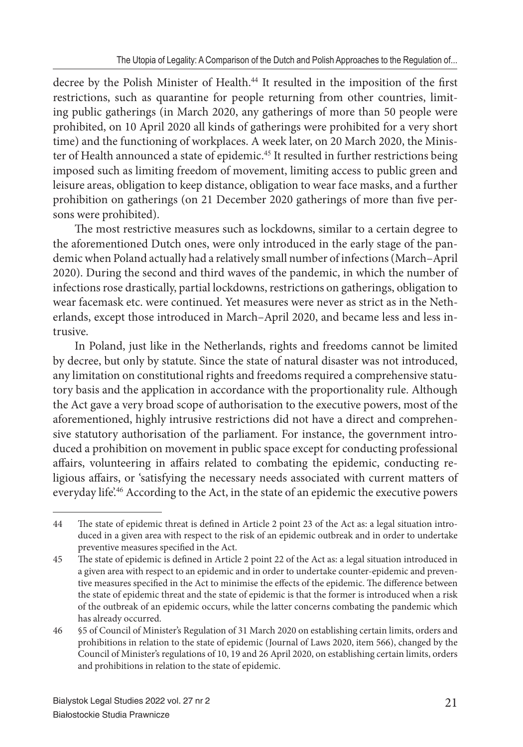decree by the Polish Minister of Health.<sup>44</sup> It resulted in the imposition of the first restrictions, such as quarantine for people returning from other countries, limiting public gatherings (in March 2020, any gatherings of more than 50 people were prohibited, on 10 April 2020 all kinds of gatherings were prohibited for a very short time) and the functioning of workplaces. A week later, on 20 March 2020, the Minister of Health announced a state of epidemic.<sup>45</sup> It resulted in further restrictions being imposed such as limiting freedom of movement, limiting access to public green and leisure areas, obligation to keep distance, obligation to wear face masks, and a further prohibition on gatherings (on 21 December 2020 gatherings of more than five persons were prohibited).

The most restrictive measures such as lockdowns, similar to a certain degree to the aforementioned Dutch ones, were only introduced in the early stage of the pandemic when Poland actually had a relatively small number of infections (March–April 2020). During the second and third waves of the pandemic, in which the number of infections rose drastically, partial lockdowns, restrictions on gatherings, obligation to wear facemask etc. were continued. Yet measures were never as strict as in the Netherlands, except those introduced in March–April 2020, and became less and less intrusive.

In Poland, just like in the Netherlands, rights and freedoms cannot be limited by decree, but only by statute. Since the state of natural disaster was not introduced, any limitation on constitutional rights and freedoms required a comprehensive statutory basis and the application in accordance with the proportionality rule. Although the Act gave a very broad scope of authorisation to the executive powers, most of the aforementioned, highly intrusive restrictions did not have a direct and comprehensive statutory authorisation of the parliament. For instance, the government introduced a prohibition on movement in public space except for conducting professional affairs, volunteering in affairs related to combating the epidemic, conducting religious affairs, or 'satisfying the necessary needs associated with current matters of everyday life.<sup>46</sup> According to the Act, in the state of an epidemic the executive powers

<sup>44</sup> The state of epidemic threat is defined in Article 2 point 23 of the Act as: a legal situation introduced in a given area with respect to the risk of an epidemic outbreak and in order to undertake preventive measures specified in the Act.

<sup>45</sup> The state of epidemic is defined in Article 2 point 22 of the Act as: a legal situation introduced in a given area with respect to an epidemic and in order to undertake counter-epidemic and preventive measures specified in the Act to minimise the effects of the epidemic. The difference between the state of epidemic threat and the state of epidemic is that the former is introduced when a risk of the outbreak of an epidemic occurs, while the latter concerns combating the pandemic which has already occurred.

<sup>46 §5</sup> of Council of Minister's Regulation of 31 March 2020 on establishing certain limits, orders and prohibitions in relation to the state of epidemic (Journal of Laws 2020, item 566), changed by the Council of Minister's regulations of 10, 19 and 26 April 2020, on establishing certain limits, orders and prohibitions in relation to the state of epidemic.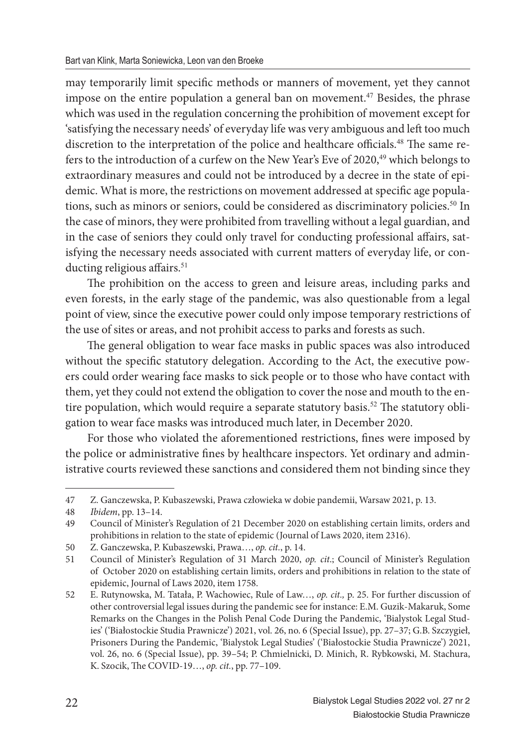may temporarily limit specific methods or manners of movement, yet they cannot impose on the entire population a general ban on movement.<sup>47</sup> Besides, the phrase which was used in the regulation concerning the prohibition of movement except for 'satisfying the necessary needs' of everyday life was very ambiguous and left too much discretion to the interpretation of the police and healthcare officials.<sup>48</sup> The same refers to the introduction of a curfew on the New Year's Eve of 2020,<sup>49</sup> which belongs to extraordinary measures and could not be introduced by a decree in the state of epidemic. What is more, the restrictions on movement addressed at specific age populations, such as minors or seniors, could be considered as discriminatory policies.<sup>50</sup> In the case of minors, they were prohibited from travelling without a legal guardian, and in the case of seniors they could only travel for conducting professional affairs, satisfying the necessary needs associated with current matters of everyday life, or conducting religious affairs.<sup>51</sup>

The prohibition on the access to green and leisure areas, including parks and even forests, in the early stage of the pandemic, was also questionable from a legal point of view, since the executive power could only impose temporary restrictions of the use of sites or areas, and not prohibit access to parks and forests as such.

The general obligation to wear face masks in public spaces was also introduced without the specific statutory delegation. According to the Act, the executive powers could order wearing face masks to sick people or to those who have contact with them, yet they could not extend the obligation to cover the nose and mouth to the entire population, which would require a separate statutory basis.<sup>52</sup> The statutory obligation to wear face masks was introduced much later, in December 2020.

For those who violated the aforementioned restrictions, fines were imposed by the police or administrative fines by healthcare inspectors. Yet ordinary and administrative courts reviewed these sanctions and considered them not binding since they

<sup>47</sup> Z. Ganczewska, P. Kubaszewski, Prawa człowieka w dobie pandemii, Warsaw 2021, p. 13.

<sup>48</sup> *Ibidem*, pp. 13–14.

<sup>49</sup> Council of Minister's Regulation of 21 December 2020 on establishing certain limits, orders and prohibitions in relation to the state of epidemic (Journal of Laws 2020, item 2316).

<sup>50</sup> Z. Ganczewska, P. Kubaszewski, Prawa…, *op. cit.*, p. 14.

<sup>51</sup> Council of Minister's Regulation of 31 March 2020, *op. cit*.; Council of Minister's Regulation of October 2020 on establishing certain limits, orders and prohibitions in relation to the state of epidemic, Journal of Laws 2020, item 1758.

<sup>52</sup> E. Rutynowska, M. Tatała, P. Wachowiec, Rule of Law…, *op. cit.,* p. 25. For further discussion of other controversial legal issues during the pandemic see for instance: E.M. Guzik-Makaruk, Some Remarks on the Changes in the Polish Penal Code During the Pandemic, 'Bialystok Legal Studies' ('Białostockie Studia Prawnicze') 2021, vol. 26, no. 6 (Special Issue), pp. 27–37; G.B. Szczygieł, Prisoners During the Pandemic, 'Bialystok Legal Studies' ('Białostockie Studia Prawnicze') 2021, vol. 26, no. 6 (Special Issue), pp. 39–54; P. Chmielnicki, D. Minich, R. Rybkowski, M. Stachura, K. Szocik, The COVID-19..., *op. cit.*, pp. 77-109.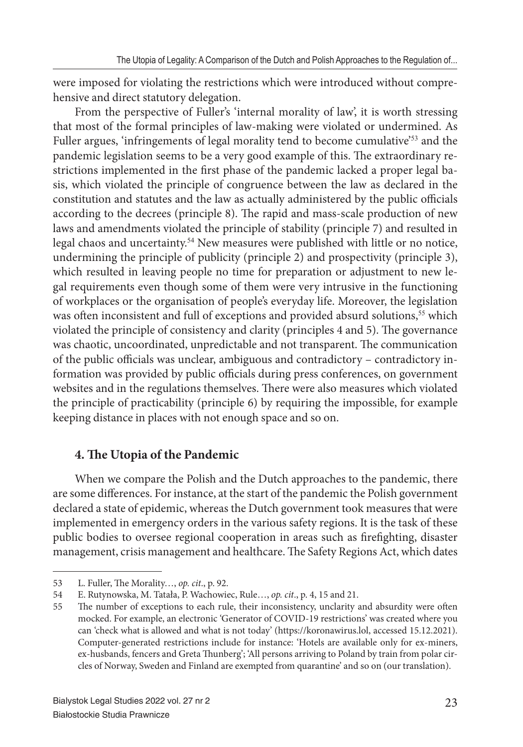were imposed for violating the restrictions which were introduced without comprehensive and direct statutory delegation.

From the perspective of Fuller's 'internal morality of law', it is worth stressing that most of the formal principles of law-making were violated or undermined. As Fuller argues, 'infringements of legal morality tend to become cumulative'<sup>53</sup> and the pandemic legislation seems to be a very good example of this. The extraordinary restrictions implemented in the first phase of the pandemic lacked a proper legal basis, which violated the principle of congruence between the law as declared in the constitution and statutes and the law as actually administered by the public officials according to the decrees (principle 8). The rapid and mass-scale production of new laws and amendments violated the principle of stability (principle 7) and resulted in legal chaos and uncertainty.<sup>54</sup> New measures were published with little or no notice, undermining the principle of publicity (principle 2) and prospectivity (principle 3), which resulted in leaving people no time for preparation or adjustment to new legal requirements even though some of them were very intrusive in the functioning of workplaces or the organisation of people's everyday life. Moreover, the legislation was often inconsistent and full of exceptions and provided absurd solutions,<sup>55</sup> which violated the principle of consistency and clarity (principles 4 and 5). The governance was chaotic, uncoordinated, unpredictable and not transparent. The communication of the public officials was unclear, ambiguous and contradictory – contradictory information was provided by public officials during press conferences, on government websites and in the regulations themselves. There were also measures which violated the principle of practicability (principle 6) by requiring the impossible, for example keeping distance in places with not enough space and so on.

### **4. The Utopia of the Pandemic**

When we compare the Polish and the Dutch approaches to the pandemic, there are some differences. For instance, at the start of the pandemic the Polish government declared a state of epidemic, whereas the Dutch government took measures that were implemented in emergency orders in the various safety regions. It is the task of these public bodies to oversee regional cooperation in areas such as firefighting, disaster management, crisis management and healthcare. The Safety Regions Act, which dates

<sup>53</sup> L. Fuller, The Morality..., *op. cit.*, p. 92.

<sup>54</sup> E. Rutynowska, M. Tatała, P. Wachowiec, Rule…, *op. cit*., p. 4, 15 and 21.

<sup>55</sup> The number of exceptions to each rule, their inconsistency, unclarity and absurdity were often mocked. For example, an electronic 'Generator of COVID-19 restrictions' was created where you can 'check what is allowed and what is not today' (https://koronawirus.lol, accessed 15.12.2021). Computer-generated restrictions include for instance: 'Hotels are available only for ex-miners, ex-husbands, fencers and Greta Thunberg'; 'All persons arriving to Poland by train from polar circles of Norway, Sweden and Finland are exempted from quarantine' and so on (our translation).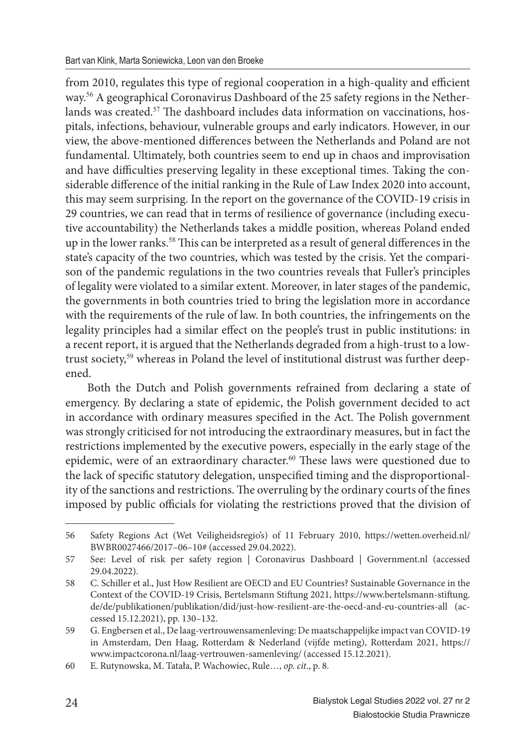from 2010, regulates this type of regional cooperation in a high-quality and efficient way.56 A geographical Coronavirus Dashboard of the 25 safety regions in the Netherlands was created.<sup>57</sup> The dashboard includes data information on vaccinations, hospitals, infections, behaviour, vulnerable groups and early indicators. However, in our view, the above-mentioned differences between the Netherlands and Poland are not fundamental. Ultimately, both countries seem to end up in chaos and improvisation and have difficulties preserving legality in these exceptional times. Taking the considerable difference of the initial ranking in the Rule of Law Index 2020 into account, this may seem surprising. In the report on the governance of the COVID-19 crisis in 29 countries, we can read that in terms of resilience of governance (including executive accountability) the Netherlands takes a middle position, whereas Poland ended up in the lower ranks.<sup>58</sup> This can be interpreted as a result of general differences in the state's capacity of the two countries, which was tested by the crisis. Yet the comparison of the pandemic regulations in the two countries reveals that Fuller's principles of legality were violated to a similar extent. Moreover, in later stages of the pandemic, the governments in both countries tried to bring the legislation more in accordance with the requirements of the rule of law. In both countries, the infringements on the legality principles had a similar effect on the people's trust in public institutions: in a recent report, it is argued that the Netherlands degraded from a high-trust to a lowtrust society,59 whereas in Poland the level of institutional distrust was further deepened.

Both the Dutch and Polish governments refrained from declaring a state of emergency. By declaring a state of epidemic, the Polish government decided to act in accordance with ordinary measures specified in the Act. The Polish government was strongly criticised for not introducing the extraordinary measures, but in fact the restrictions implemented by the executive powers, especially in the early stage of the epidemic, were of an extraordinary character.<sup>60</sup> These laws were questioned due to the lack of specific statutory delegation, unspecified timing and the disproportionality of the sanctions and restrictions. The overruling by the ordinary courts of the fines imposed by public officials for violating the restrictions proved that the division of

<sup>56</sup> Safety Regions Act (Wet Veiligheidsregio's) of 11 February 2010, https://wetten.overheid.nl/ BWBR0027466/2017–06–10# (accessed 29.04.2022).

<sup>57</sup> See: Level of risk per safety region | Coronavirus Dashboard | Government.nl (accessed 29.04.2022).

<sup>58</sup> C. Schiller et al., Just How Resilient are OECD and EU Countries? Sustainable Governance in the Context of the COVID-19 Crisis, Bertelsmann Stiftung 2021, https://www.bertelsmann-stiftung. de/de/publikationen/publikation/did/just-how-resilient-are-the-oecd-and-eu-countries-all (accessed 15.12.2021), pp. 130–132.

<sup>59</sup> G. Engbersen et al., De laag-vertrouwensamenleving: De maatschappelijke impact van COVID-19 in Amsterdam, Den Haag, Rotterdam & Nederland (vijfde meting), Rotterdam 2021, https:// www.impactcorona.nl/laag-vertrouwen-samenleving/ (accessed 15.12.2021).

<sup>60</sup> E. Rutynowska, M. Tatała, P. Wachowiec, Rule…, *op. cit*., p. 8.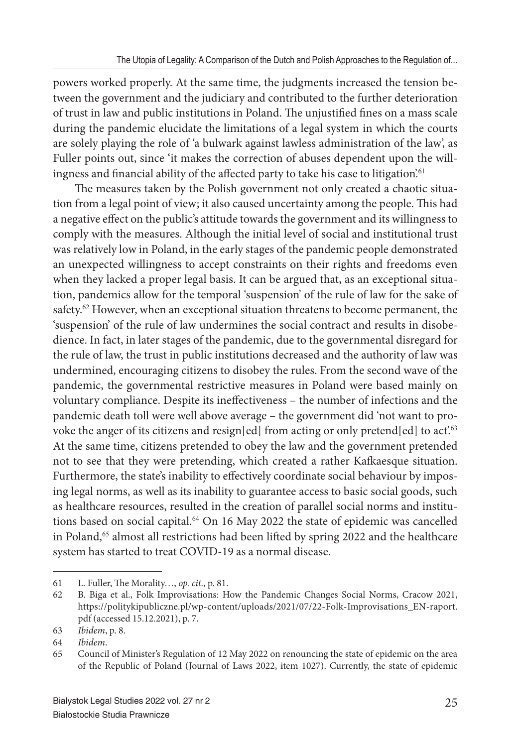powers worked properly. At the same time, the judgments increased the tension between the government and the judiciary and contributed to the further deterioration of trust in law and public institutions in Poland. The unjustified fines on a mass scale during the pandemic elucidate the limitations of a legal system in which the courts are solely playing the role of 'a bulwark against lawless administration of the law', as Fuller points out, since 'it makes the correction of abuses dependent upon the willingness and financial ability of the affected party to take his case to litigation.<sup>61</sup>

The measures taken by the Polish government not only created a chaotic situation from a legal point of view; it also caused uncertainty among the people. This had a negative effect on the public's attitude towards the government and its willingness to comply with the measures. Although the initial level of social and institutional trust was relatively low in Poland, in the early stages of the pandemic people demonstrated an unexpected willingness to accept constraints on their rights and freedoms even when they lacked a proper legal basis. It can be argued that, as an exceptional situation, pandemics allow for the temporal 'suspension' of the rule of law for the sake of safety.<sup>62</sup> However, when an exceptional situation threatens to become permanent, the 'suspension' of the rule of law undermines the social contract and results in disobedience. In fact, in later stages of the pandemic, due to the governmental disregard for the rule of law, the trust in public institutions decreased and the authority of law was undermined, encouraging citizens to disobey the rules. From the second wave of the pandemic, the governmental restrictive measures in Poland were based mainly on voluntary compliance. Despite its ineffectiveness - the number of infections and the pandemic death toll were well above average – the government did 'not want to provoke the anger of its citizens and resign[ed] from acting or only pretend[ed] to act.<sup>63</sup> At the same time, citizens pretended to obey the law and the government pretended not to see that they were pretending, which created a rather Kafkaesque situation. Furthermore, the state's inability to effectively coordinate social behaviour by imposing legal norms, as well as its inability to guarantee access to basic social goods, such as healthcare resources, resulted in the creation of parallel social norms and institutions based on social capital.<sup>64</sup> On 16 May 2022 the state of epidemic was cancelled in Poland,<sup>65</sup> almost all restrictions had been lifted by spring 2022 and the healthcare system has started to treat COVID-19 as a normal disease.

<sup>61</sup> L. Fuller, The Morality..., op. cit., p. 81.

<sup>62</sup> B. Biga et al., Folk Improvisations: How the Pandemic Changes Social Norms, Cracow 2021, https://politykipubliczne.pl/wp-content/uploads/2021/07/22-Folk-Improvisations\_EN-raport. pdf (accessed 15.12.2021), p. 7.

<sup>63</sup> *Ibidem*, p. 8.

<sup>64</sup> *Ibidem*.

<sup>65</sup> Council of Minister's Regulation of 12 May 2022 on renouncing the state of epidemic on the area of the Republic of Poland (Journal of Laws 2022, item 1027). Currently, the state of epidemic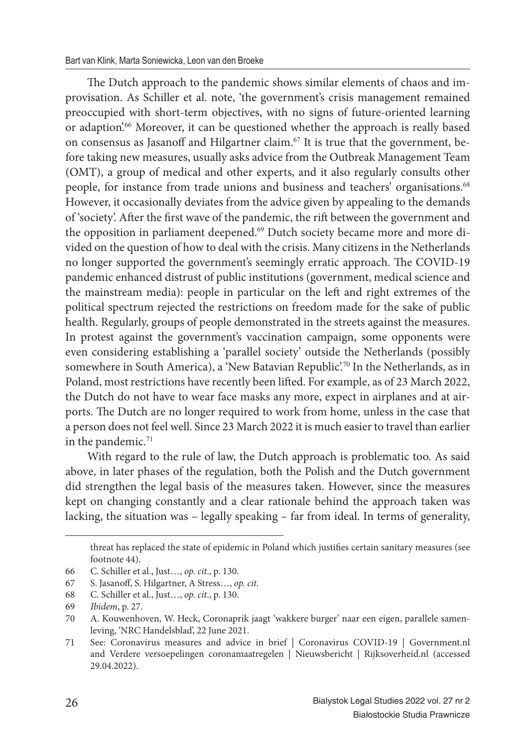The Dutch approach to the pandemic shows similar elements of chaos and improvisation. As Schiller et al. note, 'the government's crisis management remained preoccupied with short-term objectives, with no signs of future-oriented learning or adaption.<sup>66</sup> Moreover, it can be questioned whether the approach is really based on consensus as Jasanoff and Hilgartner claim.<sup>67</sup> It is true that the government, before taking new measures, usually asks advice from the Outbreak Management Team (OMT), a group of medical and other experts, and it also regularly consults other people, for instance from trade unions and business and teachers' organisations.<sup>68</sup> However, it occasionally deviates from the advice given by appealing to the demands of 'society'. After the first wave of the pandemic, the rift between the government and the opposition in parliament deepened.<sup>69</sup> Dutch society became more and more divided on the question of how to deal with the crisis. Many citizens in the Netherlands no longer supported the government's seemingly erratic approach. The COVID-19 pandemic enhanced distrust of public institutions (government, medical science and the mainstream media): people in particular on the left and right extremes of the political spectrum rejected the restrictions on freedom made for the sake of public health. Regularly, groups of people demonstrated in the streets against the measures. In protest against the government's vaccination campaign, some opponents were even considering establishing a 'parallel society' outside the Netherlands (possibly somewhere in South America), a 'New Batavian Republic'.<sup>70</sup> In the Netherlands, as in Poland, most restrictions have recently been lifted. For example, as of 23 March 2022, the Dutch do not have to wear face masks any more, expect in airplanes and at airports. The Dutch are no longer required to work from home, unless in the case that a person does not feel well. Since 23 March 2022 it is much easier to travel than earlier in the pandemic.<sup>71</sup>

With regard to the rule of law, the Dutch approach is problematic too. As said above, in later phases of the regulation, both the Polish and the Dutch government did strengthen the legal basis of the measures taken. However, since the measures kept on changing constantly and a clear rationale behind the approach taken was lacking, the situation was – legally speaking – far from ideal. In terms of generality,

threat has replaced the state of epidemic in Poland which justifies certain sanitary measures (see footnote 44).

<sup>66</sup> C. Schiller et al., Just…, *op. cit*., p. 130.

<sup>67</sup> S. Jasanoff , S. Hilgartner, A Stress…, *op. cit.*

<sup>68</sup> C. Schiller et al., Just…, *op. cit*., p. 130.

<sup>69</sup> *Ibidem*, p. 27.

<sup>70</sup> A. Kouwenhoven, W. Heck, Coronaprik jaagt 'wakkere burger' naar een eigen, parallele samenleving, 'NRC Handelsblad', 22 June 2021.

<sup>71</sup> See: Coronavirus measures and advice in brief | Coronavirus COVID-19 | Government.nl and Verdere versoepelingen coronamaatregelen | Nieuwsbericht | Rijksoverheid.nl (accessed 29.04.2022).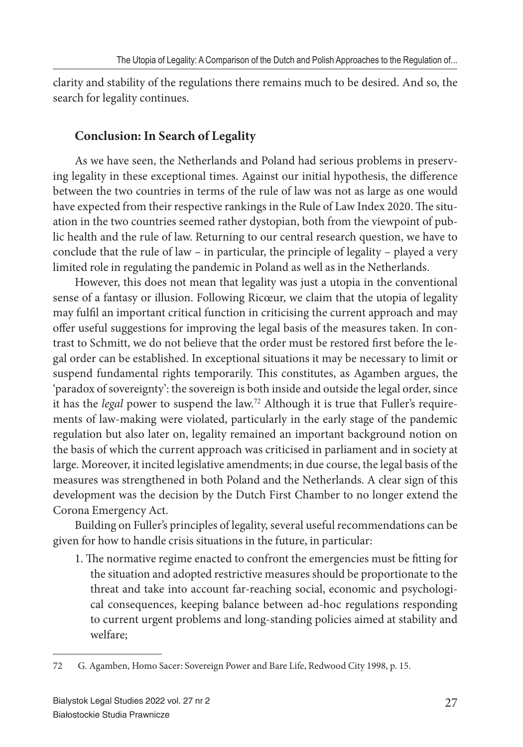clarity and stability of the regulations there remains much to be desired. And so, the search for legality continues.

# **Conclusion: In Search of Legality**

As we have seen, the Netherlands and Poland had serious problems in preserving legality in these exceptional times. Against our initial hypothesis, the difference between the two countries in terms of the rule of law was not as large as one would have expected from their respective rankings in the Rule of Law Index 2020. The situation in the two countries seemed rather dystopian, both from the viewpoint of public health and the rule of law. Returning to our central research question, we have to conclude that the rule of law – in particular, the principle of legality – played a very limited role in regulating the pandemic in Poland as well as in the Netherlands.

However, this does not mean that legality was just a utopia in the conventional sense of a fantasy or illusion. Following Ricœur, we claim that the utopia of legality may fulfil an important critical function in criticising the current approach and may offer useful suggestions for improving the legal basis of the measures taken. In contrast to Schmitt, we do not believe that the order must be restored first before the legal order can be established. In exceptional situations it may be necessary to limit or suspend fundamental rights temporarily. This constitutes, as Agamben argues, the 'paradox of sovereignty': the sovereign is both inside and outside the legal order, since it has the *legal* power to suspend the law.72 Although it is true that Fuller's requirements of law-making were violated, particularly in the early stage of the pandemic regulation but also later on, legality remained an important background notion on the basis of which the current approach was criticised in parliament and in society at large. Moreover, it incited legislative amendments; in due course, the legal basis of the measures was strengthened in both Poland and the Netherlands. A clear sign of this development was the decision by the Dutch First Chamber to no longer extend the Corona Emergency Act.

Building on Fuller's principles of legality, several useful recommendations can be given for how to handle crisis situations in the future, in particular:

1. The normative regime enacted to confront the emergencies must be fitting for the situation and adopted restrictive measures should be proportionate to the threat and take into account far-reaching social, economic and psychological consequences, keeping balance between ad-hoc regulations responding to current urgent problems and long-standing policies aimed at stability and welfare;

<sup>72</sup> G. Agamben, Homo Sacer: Sovereign Power and Bare Life, Redwood City 1998, p. 15.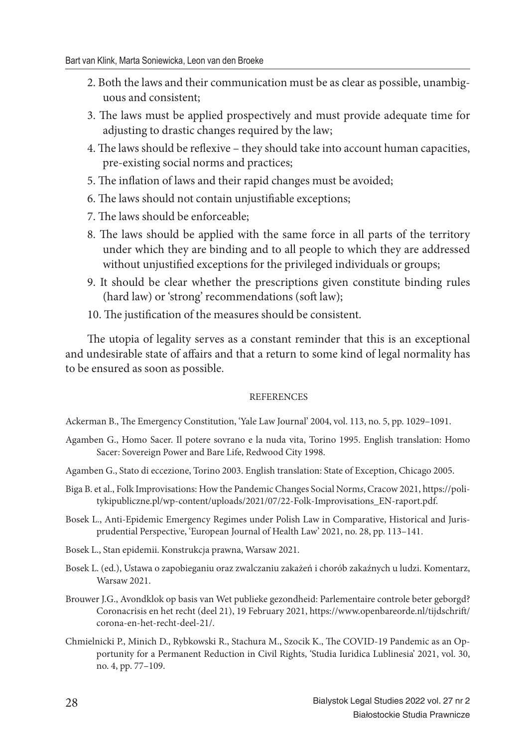- 2. Both the laws and their communication must be as clear as possible, unambiguous and consistent;
- 3. The laws must be applied prospectively and must provide adequate time for adjusting to drastic changes required by the law;
- 4. The laws should be reflexive they should take into account human capacities, pre-existing social norms and practices;
- 5. The inflation of laws and their rapid changes must be avoided;
- 6. The laws should not contain unjustifiable exceptions;
- 7. The laws should be enforceable:
- 8. The laws should be applied with the same force in all parts of the territory under which they are binding and to all people to which they are addressed without unjustified exceptions for the privileged individuals or groups;
- 9. It should be clear whether the prescriptions given constitute binding rules (hard law) or 'strong' recommendations (soft law);
- 10. The justification of the measures should be consistent.

The utopia of legality serves as a constant reminder that this is an exceptional and undesirable state of affairs and that a return to some kind of legal normality has to be ensured as soon as possible.

#### **REFERENCES**

Ackerman B., The Emergency Constitution, 'Yale Law Journal' 2004, vol. 113, no. 5, pp. 1029-1091.

- Agamben G., Homo Sacer. Il potere sovrano e la nuda vita, Torino 1995. English translation: Homo Sacer: Sovereign Power and Bare Life, Redwood City 1998.
- Agamben G., Stato di eccezione, Torino 2003. English translation: State of Exception, Chicago 2005.
- Biga B. et al., Folk Improvisations: How the Pandemic Changes Social Norm*s*, Cracow 2021, https://politykipubliczne.pl/wp-content/uploads/2021/07/22-Folk-Improvisations\_EN-raport.pdf.
- Bosek L., Anti-Epidemic Emergency Regimes under Polish Law in Comparative, Historical and Jurisprudential Perspective, 'European Journal of Health Law' 2021, no. 28, pp. 113–141.
- Bosek L., Stan epidemii. Konstrukcja prawna, Warsaw 2021.
- Bosek L. (ed.), Ustawa o zapobieganiu oraz zwalczaniu zakażeń i chorób zakaźnych u ludzi. Komentarz, Warsaw 2021.
- Brouwer J.G., Avondklok op basis van Wet publieke gezondheid: Parlementaire controle beter geborgd? Coronacrisis en het recht (deel 21), 19 February 2021, https://www.openbareorde.nl/tijdschrift/ corona-en-het-recht-deel-21/.
- Chmielnicki P., Minich D., Rybkowski R., Stachura M., Szocik K., The COVID-19 Pandemic as an Opportunity for a Permanent Reduction in Civil Rights, 'Studia Iuridica Lublinesia' 2021, vol. 30, no. 4, pp. 77–109.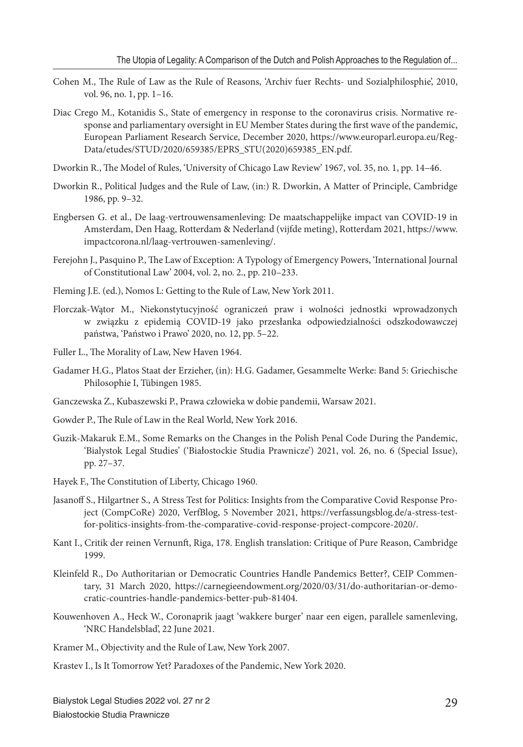- Cohen M., The Rule of Law as the Rule of Reasons, 'Archiv fuer Rechts- und Sozialphilosphie', 2010, vol. 96, no. 1, pp. 1–16.
- Diac Crego M., Kotanidis S., State of emergency in response to the coronavirus crisis. Normative response and parliamentary oversight in EU Member States during the first wave of the pandemic, European Parliament Research Service, December 2020, https://www.europarl.europa.eu/Reg-Data/etudes/STUD/2020/659385/EPRS\_STU(2020)659385\_EN.pdf.
- Dworkin R., The Model of Rules, 'University of Chicago Law Review' 1967, vol. 35, no. 1, pp. 14-46.
- Dworkin R., Political Judges and the Rule of Law, (in:) R. Dworkin, A Matter of Principle, Cambridge 1986, pp. 9–32.
- Engbersen G. et al., De laag-vertrouwensamenleving: De maatschappelijke impact van COVID-19 in Amsterdam, Den Haag, Rotterdam & Nederland (vijfde meting), Rotterdam 2021, https://www. impactcorona.nl/laag-vertrouwen-samenleving/.
- Ferejohn J., Pasquino P., The Law of Exception: A Typology of Emergency Powers, 'International Journal of Constitutional Law' 2004, vol. 2, no. 2., pp. 210–233.
- Fleming J.E. (ed.), Nomos L: Getting to the Rule of Law, New York 2011.
- Florczak-Wątor M., Niekonstytucyjność ograniczeń praw i wolności jednostki wprowadzonych w związku z epidemią COVID-19 jako przesłanka odpowiedzialności odszkodowawczej państwa, 'Państwo i Prawo' 2020, no. 12, pp. 5–22.
- Fuller L., The Morality of Law, New Haven 1964.
- Gadamer H.G., Platos Staat der Erzieher, (in): H.G. Gadamer, Gesammelte Werke: Band 5: Griechische Philosophie I, Tübingen 1985.
- Ganczewska Z., Kubaszewski P., Prawa człowieka w dobie pandemii, Warsaw 2021.
- Gowder P., The Rule of Law in the Real World, New York 2016.
- Guzik-Makaruk E.M., Some Remarks on the Changes in the Polish Penal Code During the Pandemic, 'Bialystok Legal Studies' ('Białostockie Studia Prawnicze') 2021, vol. 26, no. 6 (Special Issue), pp. 27–37.
- Hayek F., The Constitution of Liberty, Chicago 1960.
- Jasanoff S., Hilgartner S., A Stress Test for Politics: Insights from the Comparative Covid Response Project (CompCoRe) 2020, VerfBlog, 5 November 2021, https://verfassungsblog.de/a-stress-testfor-politics-insights-from-the-comparative-covid-response-project-compcore-2020/.
- Kant I., Critik der reinen Vernunft, Riga, 178. English translation: Critique of Pure Reason, Cambridge 1999.
- Kleinfeld R., Do Authoritarian or Democratic Countries Handle Pandemics Better?, CEIP Commentary, 31 March 2020, https://carnegieendowment.org/2020/03/31/do-authoritarian-or-democratic-countries-handle-pandemics-better-pub-81404.
- Kouwenhoven A., Heck W., Coronaprik jaagt 'wakkere burger' naar een eigen, parallele samenleving, 'NRC Handelsblad', 22 June 2021.
- Kramer M., Objectivity and the Rule of Law, New York 2007.
- Krastev I., Is It Tomorrow Yet? Paradoxes of the Pandemic, New York 2020.